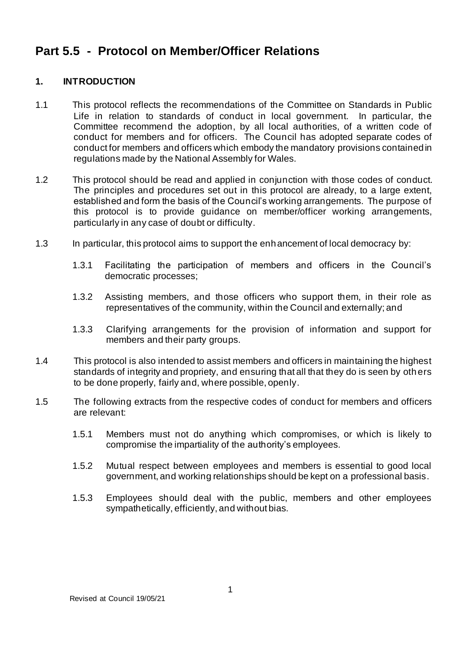# **Part 5.5 - Protocol on Member/Officer Relations**

## **1. INTRODUCTION**

- 1.1 This protocol reflects the recommendations of the Committee on Standards in Public Life in relation to standards of conduct in local government. In particular, the Committee recommend the adoption, by all local authorities, of a written code of conduct for members and for officers. The Council has adopted separate codes of conduct for members and officers which embody the mandatory provisions contained in regulations made by the National Assembly for Wales.
- 1.2 This protocol should be read and applied in conjunction with those codes of conduct. The principles and procedures set out in this protocol are already, to a large extent, established and form the basis of the Council's working arrangements. The purpose of this protocol is to provide guidance on member/officer working arrangements, particularly in any case of doubt or difficulty.
- 1.3 In particular, this protocol aims to support the enhancement of local democracy by:
	- 1.3.1 Facilitating the participation of members and officers in the Council's democratic processes;
	- 1.3.2 Assisting members, and those officers who support them, in their role as representatives of the community, within the Council and externally; and
	- 1.3.3 Clarifying arrangements for the provision of information and support for members and their party groups.
- 1.4 This protocol is also intended to assist members and officers in maintaining the highest standards of integrity and propriety, and ensuring that all that they do is seen by others to be done properly, fairly and, where possible, openly.
- 1.5 The following extracts from the respective codes of conduct for members and officers are relevant:
	- 1.5.1 Members must not do anything which compromises, or which is likely to compromise the impartiality of the authority's employees.
	- 1.5.2 Mutual respect between employees and members is essential to good local government, and working relationships should be kept on a professional basis.
	- 1.5.3 Employees should deal with the public, members and other employees sympathetically, efficiently, and without bias.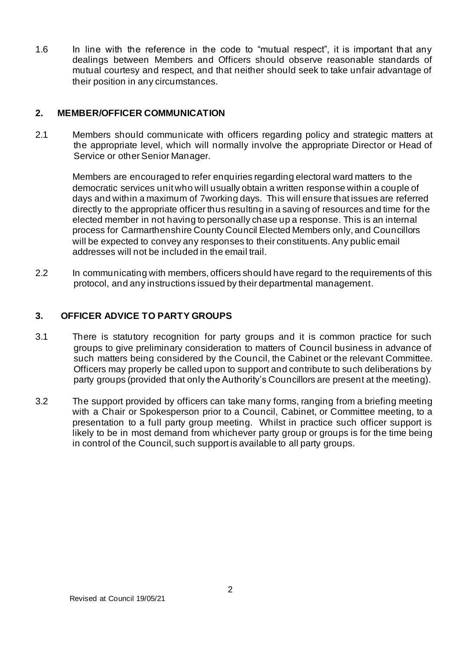1.6 In line with the reference in the code to "mutual respect", it is important that any dealings between Members and Officers should observe reasonable standards of mutual courtesy and respect, and that neither should seek to take unfair advantage of their position in any circumstances.

#### **2. MEMBER/OFFICER COMMUNICATION**

2.1 Members should communicate with officers regarding policy and strategic matters at the appropriate level, which will normally involve the appropriate Director or Head of Service or other Senior Manager.

Members are encouraged to refer enquiries regarding electoral ward matters to the democratic services unit who will usually obtain a written response within a couple of days and within a maximum of 7working days. This will ensure that issues are referred directly to the appropriate officer thus resulting in a saving of resources and time for the elected member in not having to personally chase up a response. This is an internal process for Carmarthenshire County Council Elected Members only, and Councillors will be expected to convey any responses to their constituents. Any public email addresses will not be included in the email trail.

2.2 In communicating with members, officers should have regard to the requirements of this protocol, and any instructions issued by their departmental management.

#### **3. OFFICER ADVICE TO PARTY GROUPS**

- 3.1 There is statutory recognition for party groups and it is common practice for such groups to give preliminary consideration to matters of Council business in advance of such matters being considered by the Council, the Cabinet or the relevant Committee. Officers may properly be called upon to support and contribute to such deliberations by party groups (provided that only the Authority's Councillors are present at the meeting).
- 3.2 The support provided by officers can take many forms, ranging from a briefing meeting with a Chair or Spokesperson prior to a Council, Cabinet, or Committee meeting, to a presentation to a full party group meeting. Whilst in practice such officer support is likely to be in most demand from whichever party group or groups is for the time being in control of the Council, such support is available to all party groups.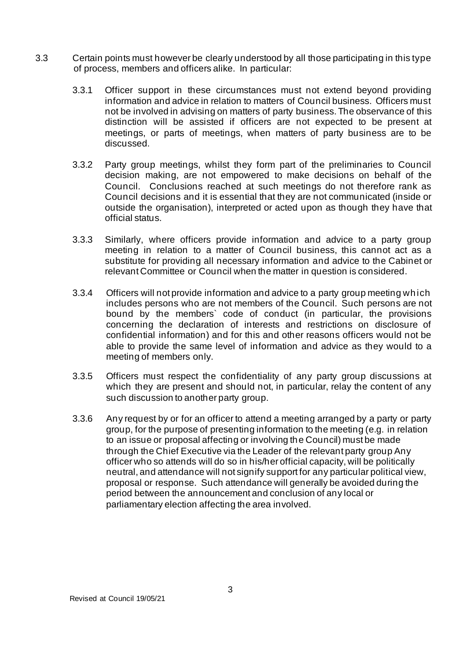- 3.3 Certain points must however be clearly understood by all those participating in this type of process, members and officers alike. In particular:
	- 3.3.1 Officer support in these circumstances must not extend beyond providing information and advice in relation to matters of Council business. Officers must not be involved in advising on matters of party business. The observance of this distinction will be assisted if officers are not expected to be present at meetings, or parts of meetings, when matters of party business are to be discussed.
	- 3.3.2 Party group meetings, whilst they form part of the preliminaries to Council decision making, are not empowered to make decisions on behalf of the Council. Conclusions reached at such meetings do not therefore rank as Council decisions and it is essential that they are not communicated (inside or outside the organisation), interpreted or acted upon as though they have that official status.
	- 3.3.3 Similarly, where officers provide information and advice to a party group meeting in relation to a matter of Council business, this cannot act as a substitute for providing all necessary information and advice to the Cabinet or relevant Committee or Council when the matter in question is considered.
	- 3.3.4 Officers will not provide information and advice to a party group meeting which includes persons who are not members of the Council. Such persons are not bound by the members` code of conduct (in particular, the provisions concerning the declaration of interests and restrictions on disclosure of confidential information) and for this and other reasons officers would not be able to provide the same level of information and advice as they would to a meeting of members only.
	- 3.3.5 Officers must respect the confidentiality of any party group discussions at which they are present and should not, in particular, relay the content of any such discussion to another party group.
	- 3.3.6 Any request by or for an officer to attend a meeting arranged by a party or party group, for the purpose of presenting information to the meeting (e.g. in relation to an issue or proposal affecting or involving the Council) must be made through the Chief Executive via the Leader of the relevant party group Any officer who so attends will do so in his/her official capacity, will be politically neutral, and attendance will not signify support for any particular political view, proposal or response. Such attendance will generally be avoided during the period between the announcement and conclusion of any local or parliamentary election affecting the area involved.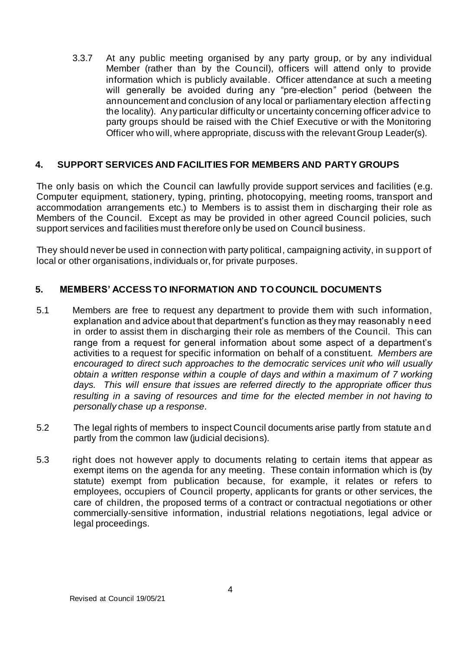3.3.7 At any public meeting organised by any party group, or by any individual Member (rather than by the Council), officers will attend only to provide information which is publicly available. Officer attendance at such a meeting will generally be avoided during any "pre-election" period (between the announcement and conclusion of any local or parliamentary election affecting the locality). Any particular difficulty or uncertainty concerning officer advice to party groups should be raised with the Chief Executive or with the Monitoring Officer who will, where appropriate, discuss with the relevant Group Leader(s).

## **4. SUPPORT SERVICES AND FACILITIES FOR MEMBERS AND PARTY GROUPS**

The only basis on which the Council can lawfully provide support services and facilities (e.g. Computer equipment, stationery, typing, printing, photocopying, meeting rooms, transport and accommodation arrangements etc.) to Members is to assist them in discharging their role as Members of the Council. Except as may be provided in other agreed Council policies, such support services and facilities must therefore only be used on Council business.

They should never be used in connection with party political, campaigning activity, in support of local or other organisations, individuals or, for private purposes.

## **5. MEMBERS' ACCESS TO INFORMATION AND TO COUNCIL DOCUMENTS**

- 5.1 Members are free to request any department to provide them with such information, explanation and advice about that department's function as they may reasonably need in order to assist them in discharging their role as members of the Council. This can range from a request for general information about some aspect of a department's activities to a request for specific information on behalf of a constituent. *Members are encouraged to direct such approaches to the democratic services unit who will usually obtain a written response within a couple of days and within a maximum of 7 working days. This will ensure that issues are referred directly to the appropriate officer thus resulting in a saving of resources and time for the elected member in not having to personally chase up a response.*
- 5.2 The legal rights of members to inspect Council documents arise partly from statute and partly from the common law (judicial decisions).
- 5.3 right does not however apply to documents relating to certain items that appear as exempt items on the agenda for any meeting. These contain information which is (by statute) exempt from publication because, for example, it relates or refers to employees, occupiers of Council property, applicants for grants or other services, the care of children, the proposed terms of a contract or contractual negotiations or other commercially-sensitive information, industrial relations negotiations, legal advice or legal proceedings.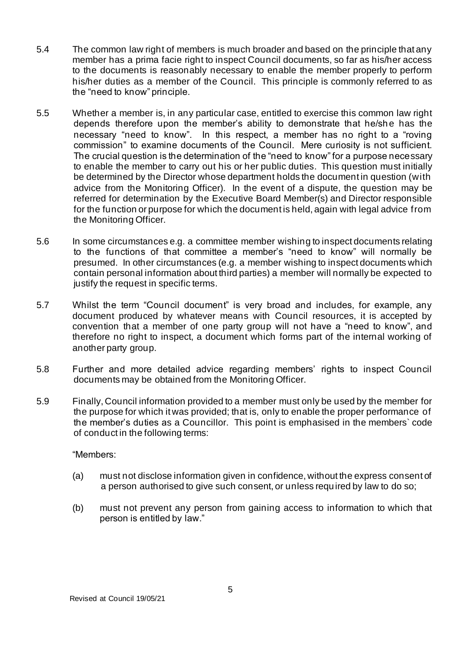- 5.4 The common law right of members is much broader and based on the principle that any member has a prima facie right to inspect Council documents, so far as his/her access to the documents is reasonably necessary to enable the member properly to perform his/her duties as a member of the Council. This principle is commonly referred to as the "need to know" principle.
- 5.5 Whether a member is, in any particular case, entitled to exercise this common law right depends therefore upon the member's ability to demonstrate that he/she has the necessary "need to know". In this respect, a member has no right to a "roving commission" to examine documents of the Council. Mere curiosity is not sufficient. The crucial question is the determination of the "need to know" for a purpose necessary to enable the member to carry out his or her public duties. This question must initially be determined by the Director whose department holds the document in question (with advice from the Monitoring Officer). In the event of a dispute, the question may be referred for determination by the Executive Board Member(s) and Director responsible for the function or purpose for which the document is held, again with legal advice from the Monitoring Officer.
- 5.6 In some circumstances e.g. a committee member wishing to inspect documents relating to the functions of that committee a member's "need to know" will normally be presumed. In other circumstances (e.g. a member wishing to inspect documents which contain personal information about third parties) a member will normally be expected to justify the request in specific terms.
- 5.7 Whilst the term "Council document" is very broad and includes, for example, any document produced by whatever means with Council resources, it is accepted by convention that a member of one party group will not have a "need to know", and therefore no right to inspect, a document which forms part of the internal working of another party group.
- 5.8 Further and more detailed advice regarding members' rights to inspect Council documents may be obtained from the Monitoring Officer.
- 5.9 Finally, Council information provided to a member must only be used by the member for the purpose for which it was provided; that is, only to enable the proper performance of the member's duties as a Councillor. This point is emphasised in the members` code of conduct in the following terms:

#### "Members:

- (a) must not disclose information given in confidence, without the express consent of a person authorised to give such consent, or unless required by law to do so;
- (b) must not prevent any person from gaining access to information to which that person is entitled by law."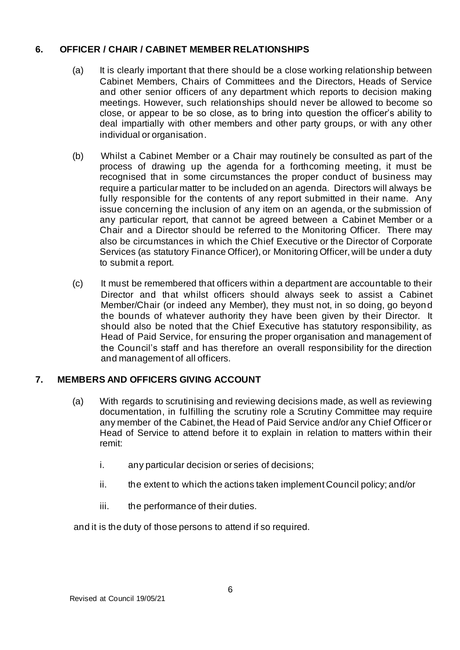## **6. OFFICER / CHAIR / CABINET MEMBER RELATIONSHIPS**

- (a) It is clearly important that there should be a close working relationship between Cabinet Members, Chairs of Committees and the Directors, Heads of Service and other senior officers of any department which reports to decision making meetings. However, such relationships should never be allowed to become so close, or appear to be so close, as to bring into question the officer's ability to deal impartially with other members and other party groups, or with any other individual or organisation.
- (b) Whilst a Cabinet Member or a Chair may routinely be consulted as part of the process of drawing up the agenda for a forthcoming meeting, it must be recognised that in some circumstances the proper conduct of business may require a particular matter to be included on an agenda. Directors will always be fully responsible for the contents of any report submitted in their name. Any issue concerning the inclusion of any item on an agenda, or the submission of any particular report, that cannot be agreed between a Cabinet Member or a Chair and a Director should be referred to the Monitoring Officer. There may also be circumstances in which the Chief Executive or the Director of Corporate Services (as statutory Finance Officer), or Monitoring Officer, will be under a duty to submit a report.
- (c) It must be remembered that officers within a department are accountable to their Director and that whilst officers should always seek to assist a Cabinet Member/Chair (or indeed any Member), they must not, in so doing, go beyond the bounds of whatever authority they have been given by their Director. It should also be noted that the Chief Executive has statutory responsibility, as Head of Paid Service, for ensuring the proper organisation and management of the Council's staff and has therefore an overall responsibility for the direction and management of all officers.

## **7. MEMBERS AND OFFICERS GIVING ACCOUNT**

- (a) With regards to scrutinising and reviewing decisions made, as well as reviewing documentation, in fulfilling the scrutiny role a Scrutiny Committee may require any member of the Cabinet, the Head of Paid Service and/or any Chief Officer or Head of Service to attend before it to explain in relation to matters within their remit:
	- i. any particular decision or series of decisions;
	- ii. the extent to which the actions taken implement Council policy; and/or
	- iii. the performance of their duties.

and it is the duty of those persons to attend if so required.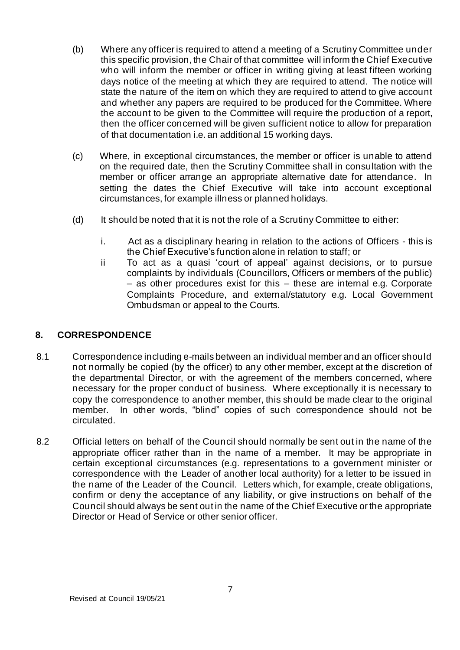- (b) Where any officer is required to attend a meeting of a Scrutiny Committee under this specific provision, the Chair of that committee will inform the Chief Executive who will inform the member or officer in writing giving at least fifteen working days notice of the meeting at which they are required to attend. The notice will state the nature of the item on which they are required to attend to give account and whether any papers are required to be produced for the Committee. Where the account to be given to the Committee will require the production of a report, then the officer concerned will be given sufficient notice to allow for preparation of that documentation i.e. an additional 15 working days.
- (c) Where, in exceptional circumstances, the member or officer is unable to attend on the required date, then the Scrutiny Committee shall in consultation with the member or officer arrange an appropriate alternative date for attendance. In setting the dates the Chief Executive will take into account exceptional circumstances, for example illness or planned holidays.
- (d) It should be noted that it is not the role of a Scrutiny Committee to either:
	- i. Act as a disciplinary hearing in relation to the actions of Officers this is the Chief Executive's function alone in relation to staff; or
	- ii To act as a quasi 'court of appeal' against decisions, or to pursue complaints by individuals (Councillors, Officers or members of the public) – as other procedures exist for this – these are internal e.g. Corporate Complaints Procedure, and external/statutory e.g. Local Government Ombudsman or appeal to the Courts.

## **8. CORRESPONDENCE**

- 8.1 Correspondence including e-mails between an individual member and an officer should not normally be copied (by the officer) to any other member, except at the discretion of the departmental Director, or with the agreement of the members concerned, where necessary for the proper conduct of business. Where exceptionally it is necessary to copy the correspondence to another member, this should be made clear to the original member. In other words, "blind" copies of such correspondence should not be circulated.
- 8.2 Official letters on behalf of the Council should normally be sent out in the name of the appropriate officer rather than in the name of a member. It may be appropriate in certain exceptional circumstances (e.g. representations to a government minister or correspondence with the Leader of another local authority) for a letter to be issued in the name of the Leader of the Council. Letters which, for example, create obligations, confirm or deny the acceptance of any liability, or give instructions on behalf of the Council should always be sent out in the name of the Chief Executive or the appropriate Director or Head of Service or other senior officer.